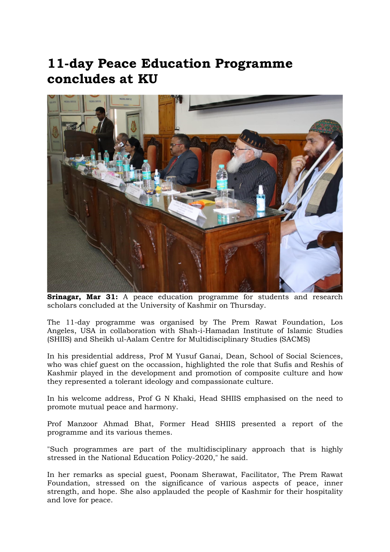## 11-day Peace Education Programme concludes at KU



Srinagar, Mar 31: A peace education programme for students and research scholars concluded at the University of Kashmir on Thursday.

The 11-day programme was organised by The Prem Rawat Foundation, Los Angeles, USA in collaboration with Shah-i-Hamadan Institute of Islamic Studies (SHIIS) and Sheikh ul-Aalam Centre for Multidisciplinary Studies (SACMS)

In his presidential address, Prof M Yusuf Ganai, Dean, School of Social Sciences, who was chief guest on the occassion, highlighted the role that Sufis and Reshis of Kashmir played in the development and promotion of composite culture and how they represented a tolerant ideology and compassionate culture.

In his welcome address, Prof G N Khaki, Head SHIIS emphasised on the need to promote mutual peace and harmony.

Prof Manzoor Ahmad Bhat, Former Head SHIIS presented a report of the programme and its various themes.

"Such programmes are part of the multidisciplinary approach that is highly stressed in the National Education Policy-2020," he said.

In her remarks as special guest, Poonam Sherawat, Facilitator, The Prem Rawat Foundation, stressed on the significance of various aspects of peace, inner strength, and hope. She also applauded the people of Kashmir for their hospitality and love for peace.